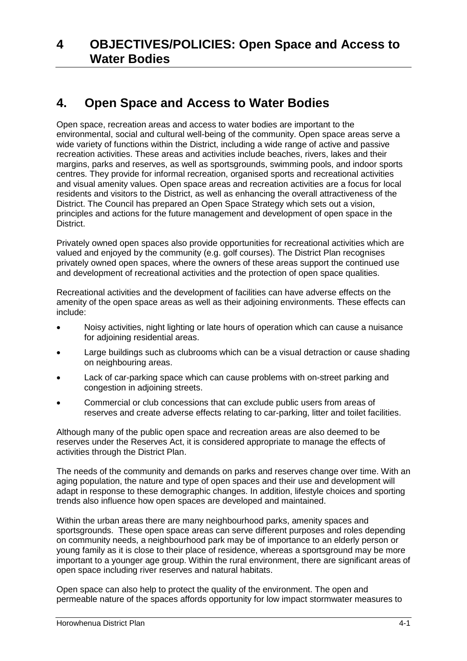# **4. Open Space and Access to Water Bodies**

Open space, recreation areas and access to water bodies are important to the environmental, social and cultural well-being of the community. Open space areas serve a wide variety of functions within the District, including a wide range of active and passive recreation activities. These areas and activities include beaches, rivers, lakes and their margins, parks and reserves, as well as sportsgrounds, swimming pools, and indoor sports centres. They provide for informal recreation, organised sports and recreational activities and visual amenity values. Open space areas and recreation activities are a focus for local residents and visitors to the District, as well as enhancing the overall attractiveness of the District. The Council has prepared an Open Space Strategy which sets out a vision, principles and actions for the future management and development of open space in the District.

Privately owned open spaces also provide opportunities for recreational activities which are valued and enjoyed by the community (e.g. golf courses). The District Plan recognises privately owned open spaces, where the owners of these areas support the continued use and development of recreational activities and the protection of open space qualities.

Recreational activities and the development of facilities can have adverse effects on the amenity of the open space areas as well as their adjoining environments. These effects can include:

- Noisy activities, night lighting or late hours of operation which can cause a nuisance for adjoining residential areas.
- Large buildings such as clubrooms which can be a visual detraction or cause shading on neighbouring areas.
- Lack of car-parking space which can cause problems with on-street parking and congestion in adjoining streets.
- Commercial or club concessions that can exclude public users from areas of reserves and create adverse effects relating to car-parking, litter and toilet facilities.

Although many of the public open space and recreation areas are also deemed to be reserves under the Reserves Act, it is considered appropriate to manage the effects of activities through the District Plan.

The needs of the community and demands on parks and reserves change over time. With an aging population, the nature and type of open spaces and their use and development will adapt in response to these demographic changes. In addition, lifestyle choices and sporting trends also influence how open spaces are developed and maintained.

Within the urban areas there are many neighbourhood parks, amenity spaces and sportsgrounds. These open space areas can serve different purposes and roles depending on community needs, a neighbourhood park may be of importance to an elderly person or young family as it is close to their place of residence, whereas a sportsground may be more important to a younger age group. Within the rural environment, there are significant areas of open space including river reserves and natural habitats.

Open space can also help to protect the quality of the environment. The open and permeable nature of the spaces affords opportunity for low impact stormwater measures to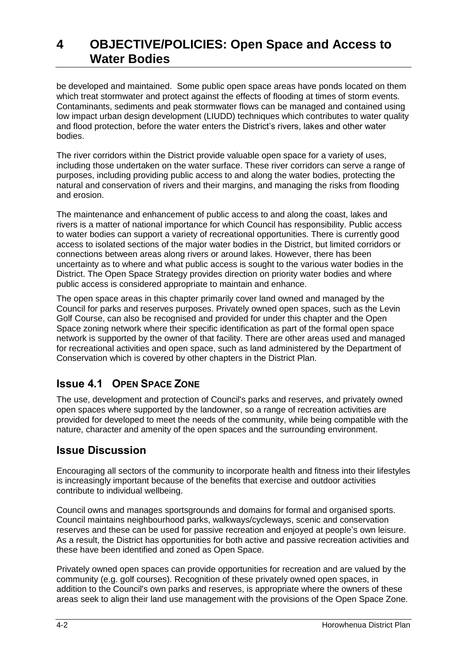be developed and maintained. Some public open space areas have ponds located on them which treat stormwater and protect against the effects of flooding at times of storm events. Contaminants, sediments and peak stormwater flows can be managed and contained using low impact urban design development (LIUDD) techniques which contributes to water quality and flood protection, before the water enters the District's rivers, lakes and other water bodies.

The river corridors within the District provide valuable open space for a variety of uses, including those undertaken on the water surface. These river corridors can serve a range of purposes, including providing public access to and along the water bodies, protecting the natural and conservation of rivers and their margins, and managing the risks from flooding and erosion.

The maintenance and enhancement of public access to and along the coast, lakes and rivers is a matter of national importance for which Council has responsibility. Public access to water bodies can support a variety of recreational opportunities. There is currently good access to isolated sections of the major water bodies in the District, but limited corridors or connections between areas along rivers or around lakes. However, there has been uncertainty as to where and what public access is sought to the various water bodies in the District. The Open Space Strategy provides direction on priority water bodies and where public access is considered appropriate to maintain and enhance.

The open space areas in this chapter primarily cover land owned and managed by the Council for parks and reserves purposes. Privately owned open spaces, such as the Levin Golf Course, can also be recognised and provided for under this chapter and the Open Space zoning network where their specific identification as part of the formal open space network is supported by the owner of that facility. There are other areas used and managed for recreational activities and open space, such as land administered by the Department of Conservation which is covered by other chapters in the District Plan.

# **Issue 4.1 OPEN SPACE ZONE**

The use, development and protection of Council's parks and reserves, and privately owned open spaces where supported by the landowner, so a range of recreation activities are provided for developed to meet the needs of the community, while being compatible with the nature, character and amenity of the open spaces and the surrounding environment.

## **Issue Discussion**

Encouraging all sectors of the community to incorporate health and fitness into their lifestyles is increasingly important because of the benefits that exercise and outdoor activities contribute to individual wellbeing.

Council owns and manages sportsgrounds and domains for formal and organised sports. Council maintains neighbourhood parks, walkways/cycleways, scenic and conservation reserves and these can be used for passive recreation and enjoyed at people's own leisure. As a result, the District has opportunities for both active and passive recreation activities and these have been identified and zoned as Open Space.

Privately owned open spaces can provide opportunities for recreation and are valued by the community (e.g. golf courses). Recognition of these privately owned open spaces, in addition to the Council's own parks and reserves, is appropriate where the owners of these areas seek to align their land use management with the provisions of the Open Space Zone.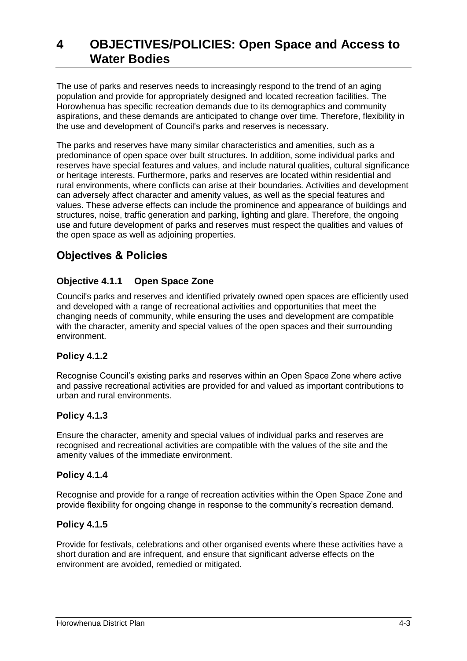The use of parks and reserves needs to increasingly respond to the trend of an aging population and provide for appropriately designed and located recreation facilities. The Horowhenua has specific recreation demands due to its demographics and community aspirations, and these demands are anticipated to change over time. Therefore, flexibility in the use and development of Council's parks and reserves is necessary.

The parks and reserves have many similar characteristics and amenities, such as a predominance of open space over built structures. In addition, some individual parks and reserves have special features and values, and include natural qualities, cultural significance or heritage interests. Furthermore, parks and reserves are located within residential and rural environments, where conflicts can arise at their boundaries. Activities and development can adversely affect character and amenity values, as well as the special features and values. These adverse effects can include the prominence and appearance of buildings and structures, noise, traffic generation and parking, lighting and glare. Therefore, the ongoing use and future development of parks and reserves must respect the qualities and values of the open space as well as adjoining properties.

## **Objectives & Policies**

## **Objective 4.1.1 Open Space Zone**

Council's parks and reserves and identified privately owned open spaces are efficiently used and developed with a range of recreational activities and opportunities that meet the changing needs of community, while ensuring the uses and development are compatible with the character, amenity and special values of the open spaces and their surrounding environment.

## **Policy 4.1.2**

Recognise Council's existing parks and reserves within an Open Space Zone where active and passive recreational activities are provided for and valued as important contributions to urban and rural environments.

## **Policy 4.1.3**

Ensure the character, amenity and special values of individual parks and reserves are recognised and recreational activities are compatible with the values of the site and the amenity values of the immediate environment.

#### **Policy 4.1.4**

Recognise and provide for a range of recreation activities within the Open Space Zone and provide flexibility for ongoing change in response to the community's recreation demand.

## **Policy 4.1.5**

Provide for festivals, celebrations and other organised events where these activities have a short duration and are infrequent, and ensure that significant adverse effects on the environment are avoided, remedied or mitigated.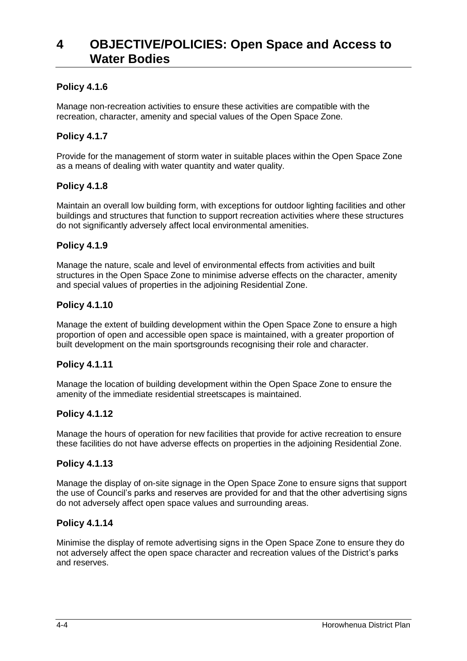### **Policy 4.1.6**

Manage non-recreation activities to ensure these activities are compatible with the recreation, character, amenity and special values of the Open Space Zone.

#### **Policy 4.1.7**

Provide for the management of storm water in suitable places within the Open Space Zone as a means of dealing with water quantity and water quality.

#### **Policy 4.1.8**

Maintain an overall low building form, with exceptions for outdoor lighting facilities and other buildings and structures that function to support recreation activities where these structures do not significantly adversely affect local environmental amenities.

#### **Policy 4.1.9**

Manage the nature, scale and level of environmental effects from activities and built structures in the Open Space Zone to minimise adverse effects on the character, amenity and special values of properties in the adjoining Residential Zone.

#### **Policy 4.1.10**

Manage the extent of building development within the Open Space Zone to ensure a high proportion of open and accessible open space is maintained, with a greater proportion of built development on the main sportsgrounds recognising their role and character.

#### **Policy 4.1.11**

Manage the location of building development within the Open Space Zone to ensure the amenity of the immediate residential streetscapes is maintained.

#### **Policy 4.1.12**

Manage the hours of operation for new facilities that provide for active recreation to ensure these facilities do not have adverse effects on properties in the adjoining Residential Zone.

#### **Policy 4.1.13**

Manage the display of on-site signage in the Open Space Zone to ensure signs that support the use of Council's parks and reserves are provided for and that the other advertising signs do not adversely affect open space values and surrounding areas.

#### **Policy 4.1.14**

Minimise the display of remote advertising signs in the Open Space Zone to ensure they do not adversely affect the open space character and recreation values of the District's parks and reserves.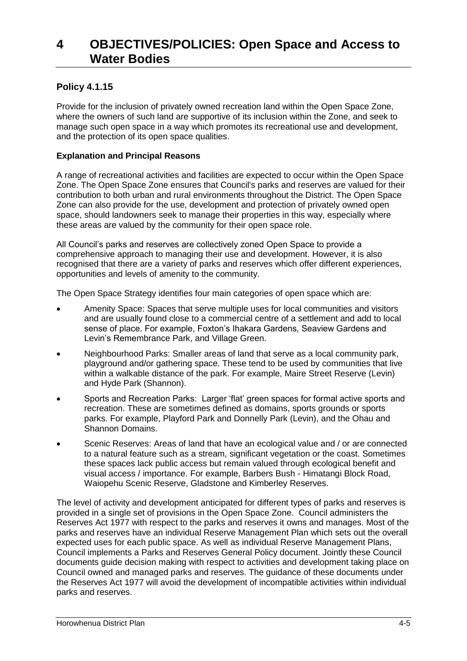## **Policy 4.1.15**

Provide for the inclusion of privately owned recreation land within the Open Space Zone, where the owners of such land are supportive of its inclusion within the Zone, and seek to manage such open space in a way which promotes its recreational use and development, and the protection of its open space qualities.

#### **Explanation and Principal Reasons**

A range of recreational activities and facilities are expected to occur within the Open Space Zone. The Open Space Zone ensures that Council's parks and reserves are valued for their contribution to both urban and rural environments throughout the District. The Open Space Zone can also provide for the use, development and protection of privately owned open space, should landowners seek to manage their properties in this way, especially where these areas are valued by the community for their open space role.

All Council's parks and reserves are collectively zoned Open Space to provide a comprehensive approach to managing their use and development. However, it is also recognised that there are a variety of parks and reserves which offer different experiences, opportunities and levels of amenity to the community.

The Open Space Strategy identifies four main categories of open space which are:

- Amenity Space: Spaces that serve multiple uses for local communities and visitors and are usually found close to a commercial centre of a settlement and add to local sense of place. For example, Foxton's Ihakara Gardens, Seaview Gardens and Levin's Remembrance Park, and Village Green.
- Neighbourhood Parks: Smaller areas of land that serve as a local community park, playground and/or gathering space. These tend to be used by communities that live within a walkable distance of the park. For example, Maire Street Reserve (Levin) and Hyde Park (Shannon).
- Sports and Recreation Parks: Larger 'flat' green spaces for formal active sports and recreation. These are sometimes defined as domains, sports grounds or sports parks. For example, Playford Park and Donnelly Park (Levin), and the Ohau and Shannon Domains.
- Scenic Reserves: Areas of land that have an ecological value and / or are connected to a natural feature such as a stream, significant vegetation or the coast. Sometimes these spaces lack public access but remain valued through ecological benefit and visual access / importance. For example, Barbers Bush - Himatangi Block Road, Waiopehu Scenic Reserve, Gladstone and Kimberley Reserves.

The level of activity and development anticipated for different types of parks and reserves is provided in a single set of provisions in the Open Space Zone. Council administers the Reserves Act 1977 with respect to the parks and reserves it owns and manages. Most of the parks and reserves have an individual Reserve Management Plan which sets out the overall expected uses for each public space. As well as individual Reserve Management Plans, Council implements a Parks and Reserves General Policy document. Jointly these Council documents guide decision making with respect to activities and development taking place on Council owned and managed parks and reserves. The guidance of these documents under the Reserves Act 1977 will avoid the development of incompatible activities within individual parks and reserves.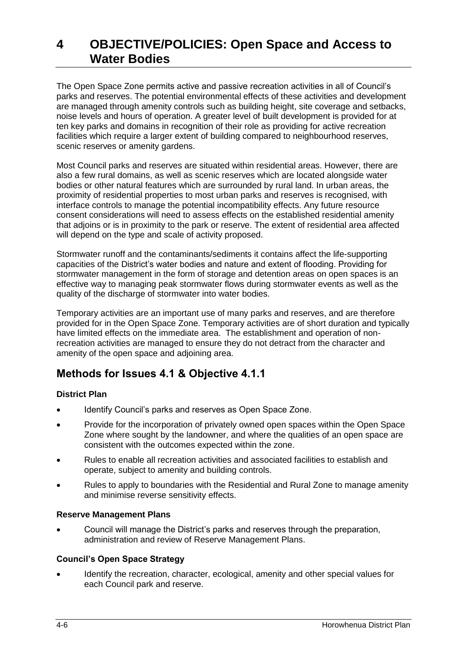The Open Space Zone permits active and passive recreation activities in all of Council's parks and reserves. The potential environmental effects of these activities and development are managed through amenity controls such as building height, site coverage and setbacks, noise levels and hours of operation. A greater level of built development is provided for at ten key parks and domains in recognition of their role as providing for active recreation facilities which require a larger extent of building compared to neighbourhood reserves, scenic reserves or amenity gardens.

Most Council parks and reserves are situated within residential areas. However, there are also a few rural domains, as well as scenic reserves which are located alongside water bodies or other natural features which are surrounded by rural land. In urban areas, the proximity of residential properties to most urban parks and reserves is recognised, with interface controls to manage the potential incompatibility effects. Any future resource consent considerations will need to assess effects on the established residential amenity that adjoins or is in proximity to the park or reserve. The extent of residential area affected will depend on the type and scale of activity proposed.

Stormwater runoff and the contaminants/sediments it contains affect the life-supporting capacities of the District's water bodies and nature and extent of flooding. Providing for stormwater management in the form of storage and detention areas on open spaces is an effective way to managing peak stormwater flows during stormwater events as well as the quality of the discharge of stormwater into water bodies.

Temporary activities are an important use of many parks and reserves, and are therefore provided for in the Open Space Zone. Temporary activities are of short duration and typically have limited effects on the immediate area. The establishment and operation of nonrecreation activities are managed to ensure they do not detract from the character and amenity of the open space and adjoining area.

## **Methods for Issues 4.1 & Objective 4.1.1**

## **District Plan**

- Identify Council's parks and reserves as Open Space Zone.
- Provide for the incorporation of privately owned open spaces within the Open Space Zone where sought by the landowner, and where the qualities of an open space are consistent with the outcomes expected within the zone.
- Rules to enable all recreation activities and associated facilities to establish and operate, subject to amenity and building controls.
- Rules to apply to boundaries with the Residential and Rural Zone to manage amenity and minimise reverse sensitivity effects.

#### **Reserve Management Plans**

 Council will manage the District's parks and reserves through the preparation, administration and review of Reserve Management Plans.

#### **Council's Open Space Strategy**

 Identify the recreation, character, ecological, amenity and other special values for each Council park and reserve.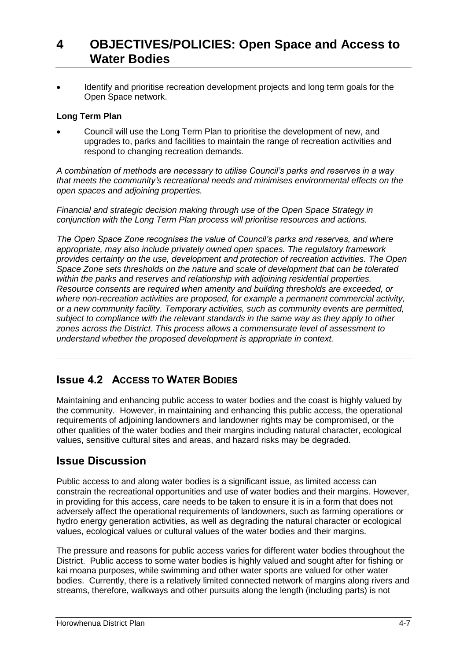Identify and prioritise recreation development projects and long term goals for the Open Space network.

#### **Long Term Plan**

 Council will use the Long Term Plan to prioritise the development of new, and upgrades to, parks and facilities to maintain the range of recreation activities and respond to changing recreation demands.

*A combination of methods are necessary to utilise Council's parks and reserves in a way that meets the community's recreational needs and minimises environmental effects on the open spaces and adjoining properties.* 

*Financial and strategic decision making through use of the Open Space Strategy in conjunction with the Long Term Plan process will prioritise resources and actions.* 

*The Open Space Zone recognises the value of Council's parks and reserves, and where appropriate, may also include privately owned open spaces. The regulatory framework provides certainty on the use, development and protection of recreation activities. The Open Space Zone sets thresholds on the nature and scale of development that can be tolerated within the parks and reserves and relationship with adjoining residential properties. Resource consents are required when amenity and building thresholds are exceeded, or where non-recreation activities are proposed, for example a permanent commercial activity, or a new community facility. Temporary activities, such as community events are permitted, subject to compliance with the relevant standards in the same way as they apply to other zones across the District. This process allows a commensurate level of assessment to understand whether the proposed development is appropriate in context.* 

## **Issue 4.2 ACCESS TO WATER BODIES**

Maintaining and enhancing public access to water bodies and the coast is highly valued by the community. However, in maintaining and enhancing this public access, the operational requirements of adjoining landowners and landowner rights may be compromised, or the other qualities of the water bodies and their margins including natural character, ecological values, sensitive cultural sites and areas, and hazard risks may be degraded.

## **Issue Discussion**

Public access to and along water bodies is a significant issue, as limited access can constrain the recreational opportunities and use of water bodies and their margins. However, in providing for this access, care needs to be taken to ensure it is in a form that does not adversely affect the operational requirements of landowners, such as farming operations or hydro energy generation activities, as well as degrading the natural character or ecological values, ecological values or cultural values of the water bodies and their margins.

The pressure and reasons for public access varies for different water bodies throughout the District. Public access to some water bodies is highly valued and sought after for fishing or kai moana purposes, while swimming and other water sports are valued for other water bodies. Currently, there is a relatively limited connected network of margins along rivers and streams, therefore, walkways and other pursuits along the length (including parts) is not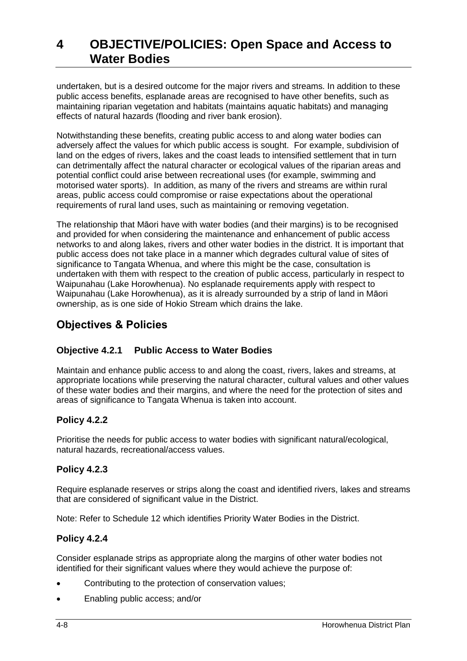undertaken, but is a desired outcome for the major rivers and streams. In addition to these public access benefits, esplanade areas are recognised to have other benefits, such as maintaining riparian vegetation and habitats (maintains aquatic habitats) and managing effects of natural hazards (flooding and river bank erosion).

Notwithstanding these benefits, creating public access to and along water bodies can adversely affect the values for which public access is sought. For example, subdivision of land on the edges of rivers, lakes and the coast leads to intensified settlement that in turn can detrimentally affect the natural character or ecological values of the riparian areas and potential conflict could arise between recreational uses (for example, swimming and motorised water sports). In addition, as many of the rivers and streams are within rural areas, public access could compromise or raise expectations about the operational requirements of rural land uses, such as maintaining or removing vegetation.

The relationship that Māori have with water bodies (and their margins) is to be recognised and provided for when considering the maintenance and enhancement of public access networks to and along lakes, rivers and other water bodies in the district. It is important that public access does not take place in a manner which degrades cultural value of sites of significance to Tangata Whenua, and where this might be the case, consultation is undertaken with them with respect to the creation of public access, particularly in respect to Waipunahau (Lake Horowhenua). No esplanade requirements apply with respect to Waipunahau (Lake Horowhenua), as it is already surrounded by a strip of land in Māori ownership, as is one side of Hokio Stream which drains the lake.

## **Objectives & Policies**

## **Objective 4.2.1 Public Access to Water Bodies**

Maintain and enhance public access to and along the coast, rivers, lakes and streams, at appropriate locations while preserving the natural character, cultural values and other values of these water bodies and their margins, and where the need for the protection of sites and areas of significance to Tangata Whenua is taken into account.

## **Policy 4.2.2**

Prioritise the needs for public access to water bodies with significant natural/ecological, natural hazards, recreational/access values.

## **Policy 4.2.3**

Require esplanade reserves or strips along the coast and identified rivers, lakes and streams that are considered of significant value in the District.

Note: Refer to Schedule 12 which identifies Priority Water Bodies in the District.

## **Policy 4.2.4**

Consider esplanade strips as appropriate along the margins of other water bodies not identified for their significant values where they would achieve the purpose of:

- Contributing to the protection of conservation values;
- Enabling public access; and/or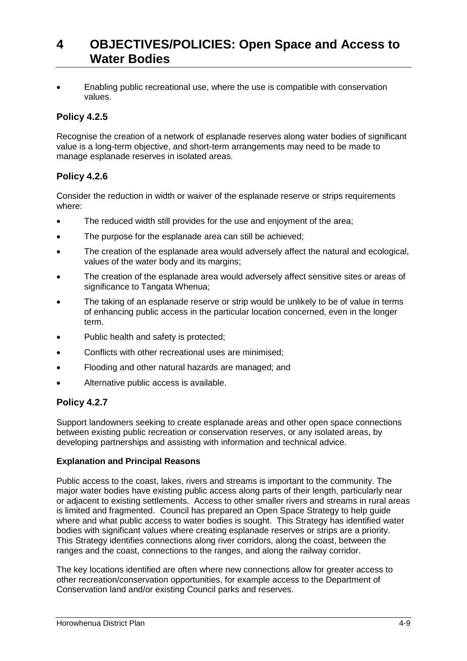Enabling public recreational use, where the use is compatible with conservation values.

## **Policy 4.2.5**

Recognise the creation of a network of esplanade reserves along water bodies of significant value is a long-term objective, and short-term arrangements may need to be made to manage esplanade reserves in isolated areas.

## **Policy 4.2.6**

Consider the reduction in width or waiver of the esplanade reserve or strips requirements where:

- The reduced width still provides for the use and enjoyment of the area;
- The purpose for the esplanade area can still be achieved;
- The creation of the esplanade area would adversely affect the natural and ecological, values of the water body and its margins;
- The creation of the esplanade area would adversely affect sensitive sites or areas of significance to Tangata Whenua:
- The taking of an esplanade reserve or strip would be unlikely to be of value in terms of enhancing public access in the particular location concerned, even in the longer term.
- Public health and safety is protected;
- Conflicts with other recreational uses are minimised;
- Flooding and other natural hazards are managed; and
- Alternative public access is available.

## **Policy 4.2.7**

Support landowners seeking to create esplanade areas and other open space connections between existing public recreation or conservation reserves, or any isolated areas, by developing partnerships and assisting with information and technical advice.

#### **Explanation and Principal Reasons**

Public access to the coast, lakes, rivers and streams is important to the community. The major water bodies have existing public access along parts of their length, particularly near or adjacent to existing settlements. Access to other smaller rivers and streams in rural areas is limited and fragmented. Council has prepared an Open Space Strategy to help guide where and what public access to water bodies is sought. This Strategy has identified water bodies with significant values where creating esplanade reserves or strips are a priority. This Strategy identifies connections along river corridors, along the coast, between the ranges and the coast, connections to the ranges, and along the railway corridor.

The key locations identified are often where new connections allow for greater access to other recreation/conservation opportunities, for example access to the Department of Conservation land and/or existing Council parks and reserves.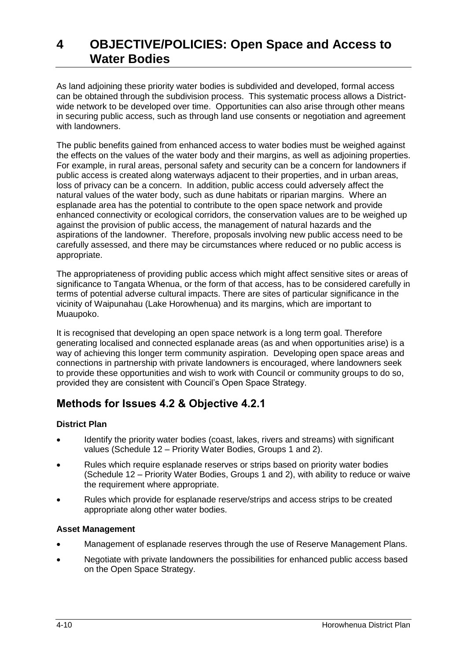As land adjoining these priority water bodies is subdivided and developed, formal access can be obtained through the subdivision process. This systematic process allows a Districtwide network to be developed over time. Opportunities can also arise through other means in securing public access, such as through land use consents or negotiation and agreement with landowners.

The public benefits gained from enhanced access to water bodies must be weighed against the effects on the values of the water body and their margins, as well as adjoining properties. For example, in rural areas, personal safety and security can be a concern for landowners if public access is created along waterways adjacent to their properties, and in urban areas, loss of privacy can be a concern. In addition, public access could adversely affect the natural values of the water body, such as dune habitats or riparian margins. Where an esplanade area has the potential to contribute to the open space network and provide enhanced connectivity or ecological corridors, the conservation values are to be weighed up against the provision of public access, the management of natural hazards and the aspirations of the landowner. Therefore, proposals involving new public access need to be carefully assessed, and there may be circumstances where reduced or no public access is appropriate.

The appropriateness of providing public access which might affect sensitive sites or areas of significance to Tangata Whenua, or the form of that access, has to be considered carefully in terms of potential adverse cultural impacts. There are sites of particular significance in the vicinity of Waipunahau (Lake Horowhenua) and its margins, which are important to Muaupoko.

It is recognised that developing an open space network is a long term goal. Therefore generating localised and connected esplanade areas (as and when opportunities arise) is a way of achieving this longer term community aspiration. Developing open space areas and connections in partnership with private landowners is encouraged, where landowners seek to provide these opportunities and wish to work with Council or community groups to do so, provided they are consistent with Council's Open Space Strategy.

## **Methods for Issues 4.2 & Objective 4.2.1**

#### **District Plan**

- Identify the priority water bodies (coast, lakes, rivers and streams) with significant values (Schedule 12 – Priority Water Bodies, Groups 1 and 2).
- Rules which require esplanade reserves or strips based on priority water bodies (Schedule 12 – Priority Water Bodies, Groups 1 and 2), with ability to reduce or waive the requirement where appropriate.
- Rules which provide for esplanade reserve/strips and access strips to be created appropriate along other water bodies.

#### **Asset Management**

- Management of esplanade reserves through the use of Reserve Management Plans.
- Negotiate with private landowners the possibilities for enhanced public access based on the Open Space Strategy.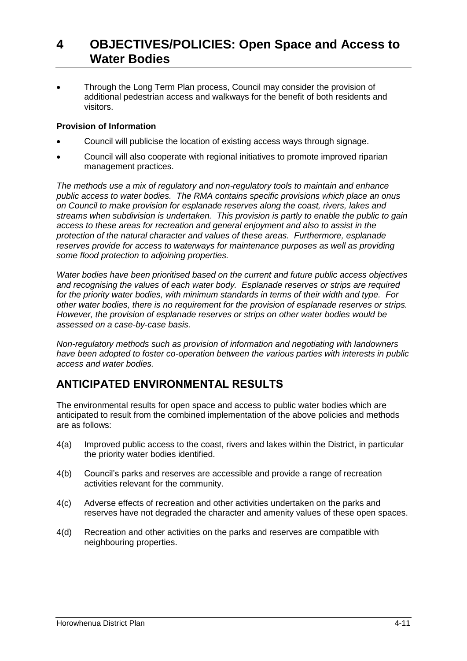Through the Long Term Plan process, Council may consider the provision of additional pedestrian access and walkways for the benefit of both residents and visitors.

#### **Provision of Information**

- Council will publicise the location of existing access ways through signage.
- Council will also cooperate with regional initiatives to promote improved riparian management practices.

*The methods use a mix of regulatory and non-regulatory tools to maintain and enhance public access to water bodies. The RMA contains specific provisions which place an onus on Council to make provision for esplanade reserves along the coast, rivers, lakes and streams when subdivision is undertaken. This provision is partly to enable the public to gain access to these areas for recreation and general enjoyment and also to assist in the protection of the natural character and values of these areas. Furthermore, esplanade reserves provide for access to waterways for maintenance purposes as well as providing some flood protection to adjoining properties.*

*Water bodies have been prioritised based on the current and future public access objectives and recognising the values of each water body. Esplanade reserves or strips are required for the priority water bodies, with minimum standards in terms of their width and type. For other water bodies, there is no requirement for the provision of esplanade reserves or strips. However, the provision of esplanade reserves or strips on other water bodies would be assessed on a case-by-case basis.*

*Non-regulatory methods such as provision of information and negotiating with landowners have been adopted to foster co-operation between the various parties with interests in public access and water bodies.*

## **ANTICIPATED ENVIRONMENTAL RESULTS**

The environmental results for open space and access to public water bodies which are anticipated to result from the combined implementation of the above policies and methods are as follows:

- 4(a) Improved public access to the coast, rivers and lakes within the District, in particular the priority water bodies identified.
- 4(b) Council's parks and reserves are accessible and provide a range of recreation activities relevant for the community.
- 4(c) Adverse effects of recreation and other activities undertaken on the parks and reserves have not degraded the character and amenity values of these open spaces.
- 4(d) Recreation and other activities on the parks and reserves are compatible with neighbouring properties.